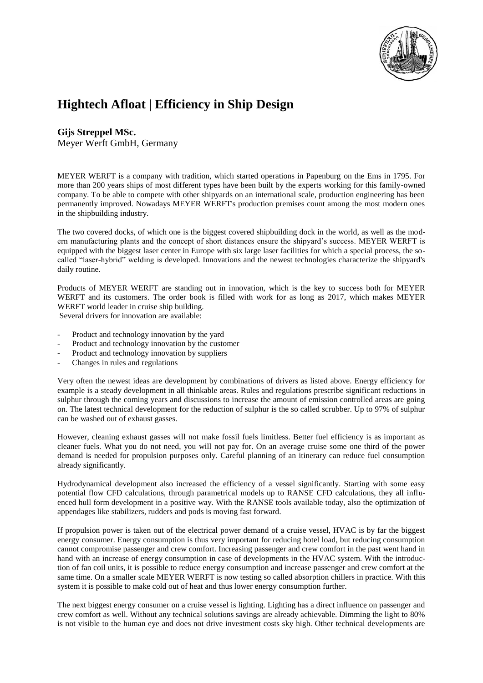

## **Hightech Afloat | Efficiency in Ship Design**

## **Gijs Streppel MSc.** Meyer Werft GmbH, Germany

MEYER WERFT is a company with tradition, which started operations in Papenburg on the Ems in 1795. For more than 200 years ships of most different types have been built by the experts working for this family-owned company. To be able to compete with other shipyards on an international scale, production engineering has been permanently improved. Nowadays MEYER WERFT's production premises count among the most modern ones in the shipbuilding industry.

The two covered docks, of which one is the biggest covered shipbuilding dock in the world, as well as the modern manufacturing plants and the concept of short distances ensure the shipyard's success. MEYER WERFT is equipped with the biggest laser center in Europe with six large laser facilities for which a special process, the socalled "laser-hybrid" welding is developed. Innovations and the newest technologies characterize the shipyard's daily routine.

Products of MEYER WERFT are standing out in innovation, which is the key to success both for MEYER WERFT and its customers. The order book is filled with work for as long as 2017, which makes MEYER WERFT world leader in cruise ship building.

Several drivers for innovation are available:

- Product and technology innovation by the yard
- Product and technology innovation by the customer
- Product and technology innovation by suppliers
- Changes in rules and regulations

Very often the newest ideas are development by combinations of drivers as listed above. Energy efficiency for example is a steady development in all thinkable areas. Rules and regulations prescribe significant reductions in sulphur through the coming years and discussions to increase the amount of emission controlled areas are going on. The latest technical development for the reduction of sulphur is the so called scrubber. Up to 97% of sulphur can be washed out of exhaust gasses.

However, cleaning exhaust gasses will not make fossil fuels limitless. Better fuel efficiency is as important as cleaner fuels. What you do not need, you will not pay for. On an average cruise some one third of the power demand is needed for propulsion purposes only. Careful planning of an itinerary can reduce fuel consumption already significantly.

Hydrodynamical development also increased the efficiency of a vessel significantly. Starting with some easy potential flow CFD calculations, through parametrical models up to RANSE CFD calculations, they all influenced hull form development in a positive way. With the RANSE tools available today, also the optimization of appendages like stabilizers, rudders and pods is moving fast forward.

If propulsion power is taken out of the electrical power demand of a cruise vessel, HVAC is by far the biggest energy consumer. Energy consumption is thus very important for reducing hotel load, but reducing consumption cannot compromise passenger and crew comfort. Increasing passenger and crew comfort in the past went hand in hand with an increase of energy consumption in case of developments in the HVAC system. With the introduction of fan coil units, it is possible to reduce energy consumption and increase passenger and crew comfort at the same time. On a smaller scale MEYER WERFT is now testing so called absorption chillers in practice. With this system it is possible to make cold out of heat and thus lower energy consumption further.

The next biggest energy consumer on a cruise vessel is lighting. Lighting has a direct influence on passenger and crew comfort as well. Without any technical solutions savings are already achievable. Dimming the light to 80% is not visible to the human eye and does not drive investment costs sky high. Other technical developments are